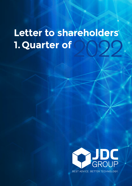# **Letter to shareholders 1. Quarter of**

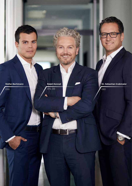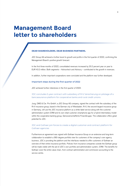## **Management Board letter to shareholders**

#### **DEAR SHAREHOLDERS, DEAR BUSINESS PARTNERS,**

JDC Group AG achieved a further boost to growth and profits in the first quarter of 2022, confirming the Management Board's positive growth forecast.

In the first three months of 2022, consolidated revenues increased by 20.2 percent year on year to EUR 43.2 million. Both segments – Advisortech and Advisory – contributed to the growth in revenues.

In addition, further important cooperations were concluded and the platform was further developed.

#### Important steps during the first quarter of 2022

JDC achieved further milestones in the first quarter of 2022:

#### JDC concludes 5-year contract with subsidiary of R+V Versicherung on pilotage of a bancassurance platform for cooperative banks and rural credit unions

Jung, DMS & Cie. Pro GmbH, a JDC Group AG company, signed the contract with the subsidiary of the R+V insurance group, based in the German city of Wiesbaden. R+V, the second-largest insurance group in Germany, will use the JDC insurance platform as a white-label service along with the customer administration system iCRM and its own retail customer smartphone app for a hybrid intermediary model within the cooperative banking group, Genossenschaftliche FinanzGruppe. The collaboration offers great potential for JDC.

#### JDC and Gothaer join forces to create a digital customer and contract platform for Gothaer agencies

Furthermore an agreement was signed with Gothaer Insurance Group on an extensive and long-term collaboration to establish a 360-degree portfolio view for customers of the company's own agency business. JDC is providing the platform and the interfaces needed to offer customers of Gothaer an overview of their entire insurance portfolio. Policies from insurance companies outside the Gothaer group will be made visible with the aid of JDC's own portfolio and administration system, iCRM. The benefits for Gothaer cover the entire value chain, from contract administration and commission accounting to the service centre.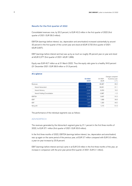#### Results for the first quarter of 2022

Consolidated revenues rose, by 20.2 percent, to EUR 43.2 million in the first quarter of 2022 (first quarter of 2021: EUR 36.0 million).

EBITDA (earnings before interest, tax, depreciation and amortisation) increased substantially by around 32 percent in the first quarter of the current year and stood at kEUR 3,732 (first quarter of 2021: kEUR 2,837).

EBIT (earnings before interest and tax) was up by as much as roughly 35 percent year on year and stood at kEUR 2,277 (first quarter of 2021: kEUR 1,689).

Equity was EUR 40.7 million as at 31 March 2022. Thus the equity ratio grew to a healthy 34.6 percent (31 December 2021: EUR 38.8 million or 31.9 percent).

#### **At a glance**

|                               | Changes compared |          |                  |  |
|-------------------------------|------------------|----------|------------------|--|
|                               | Q1/2022          | Q1/2021  | to previous year |  |
|                               | <b>kEUR</b>      | kEUR     | in $%$           |  |
| Revenues                      | 43,224           | 35,967   | 20.2             |  |
| thereof Advisortech           | 37,050           | 30,601   | 21.1             |  |
| thereof Advisory              | 9,095            | 8,253    | 10.2             |  |
| thereof Holding/Consolidation | $-2,921$         | $-2,887$ | $-1.2$           |  |
| <b>EBITDA</b>                 | 3,732            | 2,837    | 31.5             |  |
| <b>EBIT</b>                   | 2,277            | 1,689    | 34.8             |  |
| <b>EBT</b>                    | 1,907            | 1,320    | 44.5             |  |
| Net profit                    | 1,846            | 1,215    | 51.9             |  |
|                               |                  |          |                  |  |

The performance of the individual segments was as follows:

#### ADVISORTECH

The revenues generated by the Advisortech segment grew by 21.1 percent in the first three months of 2022, to EUR 37.1 million (first quarter of 2021: EUR 30.6 million).

In the first three months of 2022, EBITDA (earnings before interest, tax, depreciation and amortisation) was up again on the same period of the previous year, at EUR 3.7 million compared with EUR 3.0 million, a year-on-year increase by 23.8 percent.

EBIT (earnings before interest and tax) came in at EUR 2.6 million in the first three months of the year, an increase in comparison with the prior-year period (first quarter of 2021: EUR 2.1 million).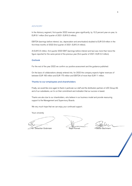#### ADVISORY

In the Advisory segment, first-quarter 2022 revenues grew significantly, by 10.2 percent year-on-year, to EUR 9.1 million (first quarter of 2021: EUR 8.3 million).

EBITDA (earnings before interest, tax, depreciation and amortisation) doubled to EUR 0.8 million in the first three months of 2022 (first quarter of 2021: EUR 0.4 million).

At EUR 0.5 million, first quarter 2022 EBIT (earnings before interest and tax) was more than twice the figure reported for the same period of the previous year (first quarter of 2021: EUR 0.2 million).

#### **Outlook**

For the rest of the year 2022 we confirm our positive assessment and the guidance published:

On the basis of collaborations already entered into, for 2022 the company expects higher revenues of between EUR 165 million and EUR 175 million and EBITDA of more than EUR 11 million.

#### Thanks to our employees and shareholders

Finally, we would like once again to thank in particular our staff and the distribution partners of JDC Group AG and of our subsidiaries, as it is on their commitment and motivation that our success is based.

Thanks are also due to our shareholders, who believe in our business model and provide reassuring support to the Management and Supervisory Boards.

We very much hope that we can enjoy your continued support.

Yours sincerely

Dr. Sebastian Grabmaier Ralph Konrad Stefan Bachmann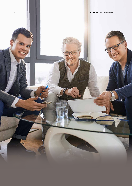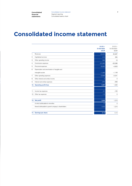# **Consolidated income statement**

|     |                                                       | $01/01/-$<br>31/03/2022<br><b>kEUR</b> | $01/01/-$<br>31/03/2021<br>kEUR |
|-----|-------------------------------------------------------|----------------------------------------|---------------------------------|
| 1.  | Revenues                                              | 43,224                                 | 35,967                          |
| 2.  | Capitalised services                                  | 310                                    | 284                             |
| 3.  | Other operating income                                | 566                                    | 16                              |
| 4.  | Commission expenses                                   | $-31,050$                              | $-26,386$                       |
| 5.  | Personnel expenses                                    | $-6.650$                               | $-4,803$                        |
| 6.  | Depreciation and amortisation of tangible and         |                                        |                                 |
|     | intangible assets                                     | $-1,455$                               | $-1,148$                        |
| 7.  | Other operating expenses                              | $-2,668$                               | $-2,241$                        |
| 8.  | Other interest and similar income                     | $\Omega$                               | $\Omega$                        |
| 9.  | Interest and similar expenses                         | $-370$                                 | $-369$                          |
|     | 10. Operating profit/loss                             | 1,907                                  | 1,320                           |
|     |                                                       |                                        |                                 |
| 11. | Income tax expenses                                   | $-51$                                  | $-105$                          |
| 12. | Other tax expenses                                    | $-10$                                  | $\circ$                         |
|     | 13. Net profit                                        | 1,846                                  | 1,215                           |
|     | of which attributable to minorities                   | 17                                     | $\Omega$                        |
|     | thereof attributable to parent company's shareholders | 1,829                                  | 1,215                           |
|     |                                                       |                                        |                                 |
|     | 14. Earnings per share                                | 0.13                                   | 0.10                            |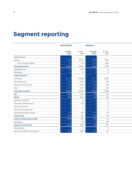# **Segment reporting**

|                                             | <b>Advisortech</b>     |                 | <b>Advisory</b>        |                 |  |
|---------------------------------------------|------------------------|-----------------|------------------------|-----------------|--|
|                                             |                        |                 |                        |                 |  |
|                                             | Q1/2022<br><b>kEUR</b> | Q1/2021<br>kEUR | Q1/2022<br><b>kEUR</b> | Q1/2021<br>kEUR |  |
| Segment income                              |                        |                 |                        |                 |  |
| Revenues                                    | 37,050                 | 30,601          | 9,095                  | 8,253           |  |
| of which with other segments                | 294                    | 400             | 2,627                  | 2,487           |  |
| Total segment income                        | 37,050                 | 30,601          | 9,095                  | 8,253           |  |
| Capitalised services                        | 310                    | 284             |                        | $\overline{0}$  |  |
| Other income                                | 574                    | 14              |                        | $\overline{2}$  |  |
| <b>Segment expenses</b>                     |                        |                 |                        |                 |  |
| Commissions                                 | $-27,723$              | $-23,003$       | $-6,141$               | $-6,078$        |  |
| Personnel expenses                          | $-4,534$               | $-3,244$        | $-1,261$               | $-920$          |  |
| Depreciation and amortisation               | $-1,081$               | $-876$          | $-299$                 | $-200$          |  |
| Other                                       | $-1,987$               | $-1,671$        | $-892$                 | $-890$          |  |
| <b>Total segment expenses</b>               | $-35,325$              | $-28,794$       | $-8,593$               | $-8,088$        |  |
| <b>EBIT</b>                                 | 2,609                  | 2,105           | 496                    | 167             |  |
| <b>EBITDA</b>                               | 3,690                  | 2,981           | 795                    | 367             |  |
| Income from investments                     |                        | $\circ$         |                        | $\overline{0}$  |  |
| Other interest and similar income           | 126                    | 122             |                        | $\circ$         |  |
| Yield on other securities                   |                        | $\circ$         |                        | $\circ$         |  |
| Depreciation of financial assets            |                        | $\circ$         |                        | $\circ$         |  |
| Other interest and similar expenses         | $-439$                 | $-423$          | $-152$                 | $-142$          |  |
| <b>Financial result</b>                     | $-313$                 | $-301$          | $-151$                 | $-142$          |  |
| Segment earnings before tax (EBT)           | 2,296                  | 1,804           | 345                    | 25              |  |
| Tax expenses                                | 117                    | 53              | $-178$                 | $-186$          |  |
| <b>Segment's net profit (EAT)</b>           | 2,413                  | 1,857           | 167                    | $-161$          |  |
| Minority interests                          | 15                     | $\circ$         |                        | $\circ$         |  |
| Segment net profit after minority interests | 2,396                  | 1,857           | 167                    | $-161$          |  |
|                                             |                        |                 |                        |                 |  |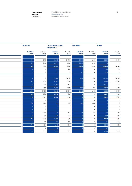**financial statements**

**Consolidated Consolidated income statement 9 9** Segment reporting Consolidated balance sheet

| <b>Holding</b>  |                 | <b>Total reportable</b><br>segments |                     | <b>Transfer</b>        |                 | <b>Total</b>    |                     |
|-----------------|-----------------|-------------------------------------|---------------------|------------------------|-----------------|-----------------|---------------------|
| Q1/2022<br>kEUR | Q1/2021<br>kEUR | Q1/2022<br>kEUR                     | Q1/2021<br>kEUR     | Q1/2022<br><b>kEUR</b> | Q1/2021<br>kEUR | Q1/2022<br>kEUR | Q1/2021<br>kEUR     |
|                 |                 |                                     |                     |                        |                 |                 |                     |
| 590             | 546             | 46,735                              | 39,400              | $-3,511$               | $-3,433$        | 43,224          | 35,967              |
| 590             | 546             | 3,511                               | 3,433               | $-3,511$               | $-3,433$        | $\Omega$        | $\mathsf{O}\xspace$ |
| 590             | 546             | 46,735                              | 39,400              | $-3,511$               | $-3,433$        | 43,224          | 35,967              |
|                 | $\circ$         | 310                                 | 284                 | $\cap$                 | $\circ$         | 310             | 284                 |
|                 | $\circ$         | 571                                 | 16                  | -5                     | $\circ$         | 566             | $16\,$              |
|                 |                 |                                     |                     |                        |                 |                 |                     |
|                 | $\circ$         | $-33,864$                           | $-29,081$           | 2,814                  | 2,695           | $-31,050$       | $-26,386$           |
| $-855$          | $-639$          | $-6,650$                            | $-4,803$            | $\Omega$               | $\circ$         | $-6,650$        | $-4,803$            |
| $-75$           | $-72$           | $-1,455$                            | $-1,148$            | $\Omega$               | $\circ$         | $-1,455$        | $-1,148$            |
| $-491$          | $-418$          | $-3,370$                            | $-2,979$            | 702                    | 738             | $-2,668$        | $-2,241$            |
| $-1,421$        | $-1,129$        | $-45,339$                           | $-38,011$           | 3,516                  | 3,433           | $-41,823$       | $-34,578$           |
| $-828$          | $-583$          | 2,277                               | 1,689               | $\overline{0}$         | $\circ$         | 2,277           | 1,689               |
| $-753$          | $-511$          | 3,732                               | 2,837               | $\mathbf{0}$           | $\circ$         | 3,732           | 2,837               |
|                 | $\circ$         | $\cap$                              | $\circ$             | $\Omega$               | $\circ$         | $\Gamma$        | $\mathsf O$         |
| 246             | 226             | 373                                 | 348                 | $-373$                 | $-348$          | $\bigcap$       | $\mathsf{O}\xspace$ |
|                 | $\circ$         | $\Omega$                            | $\circ$             | $\Omega$               | $\circ$         | $\bigcap$       | $\circ$             |
|                 | $\circ$         | $\Omega$                            | $\mathsf{O}\xspace$ | $\Omega$               | $\circ$         | $\Omega$        | $\circ$             |
| $-152$          | $-152$          | $-743$                              | $-717$              | 373                    | 348             | $-370$          | $-369$              |
| 94              | 74              | $-370$                              | $-369$              | $\Omega$               | $\circ$         | $-370$          | $-369$              |
| $-734$          | $-509$          | 1,907                               | 1,320               | $\mathbf{0}$           | $\circ$         | 1,907           | 1,320               |
|                 | 28              | $-61$                               | $-105$              | $\Omega$               | $\circ$         | $-61$           | $-105$              |
| $-734$          | $-481$          | 1,846                               | 1,215               | $\mathbf{0}$           | $\circ$         | 1,846           | 1,215               |
|                 | $\circ$         | 17                                  | $\circ$             | $\cap$                 | $\circ$         | 17              | $\mathsf{O}\xspace$ |
| $-734$          | $-481$          | 1,829                               | 1,215               |                        | $\circ$         | 1,829           | 1,215               |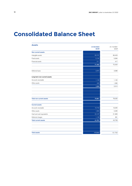# **Consolidated Balance Sheet**

| <b>Assets</b>                   |                           |                    |
|---------------------------------|---------------------------|--------------------|
|                                 | 31/03/2022<br><b>kEUR</b> | 31/12/2021<br>kEUR |
| <b>Non-current assets</b>       |                           |                    |
| Intangible assets               | 65,747                    | 66,423             |
| Fixed assets                    | 5,194                     | 5,584              |
| Financial assets                | 511                       | 417                |
|                                 | 71,452                    | 72,424             |
| Deferred taxes                  | 2,875                     | 3,089              |
| Long-term non-current assets    |                           |                    |
| Accounts receivable             | 1,128                     | 1,122              |
| Other assets                    | 406                       | 1,390              |
|                                 | 1,534                     | 2,512              |
|                                 |                           |                    |
| <b>Total non-current assets</b> | 75,861                    | 78,025             |
| <b>Current assets</b>           |                           |                    |
| Accounts receivable             | 16,749                    | 19,205             |
| Other assets                    | 1,669                     | 2,226              |
| Cash and cash equivalents       | 22,197                    | 21,906             |
| Deferred charges                | 1,136                     | 391                |
| <b>Total current assets</b>     | 41,751                    | 43,728             |
|                                 |                           |                    |
| <b>Total assets</b>             | 117,612                   | 121,753            |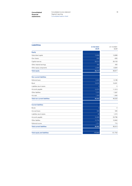**Consolidated financial statements**

Consolidated income statement Segment reporting Consolidated balance sheet

**11**

| <b>Liabilities</b>                   |                |                     |  |
|--------------------------------------|----------------|---------------------|--|
|                                      | 31/03/2022     | 31/12/2021          |  |
|                                      | <b>kEUR</b>    | <b>kEUR</b>         |  |
| <b>Equity</b>                        |                |                     |  |
| Subscribed capital                   | 13,668         | 13,668              |  |
| Own shares                           | $-505$         | $-505$              |  |
| Capital reserves                     | 29,213         | 29,153              |  |
| Other retained earnings              | 425            | 425                 |  |
| Other equity components              | $-2,084$       | $-3,924$            |  |
| <b>Total equity</b>                  | 40,717         | 38,817              |  |
| <b>Non-current liabilities</b>       |                |                     |  |
| Deferred taxes                       | 5,933          | 6,168               |  |
| Bond                                 | 19,532         | 19,491              |  |
| Liabilities due to banks             | $\mathbf 0$    | $\mathsf{O}\xspace$ |  |
| Accounts payable                     | 12,070         | 11,513              |  |
| Other liabilities                    | 7,075          | 7,357               |  |
| Accruals                             | 1,333          | 1,494               |  |
| <b>Total non-current liabilities</b> | 45,943         | 46,023              |  |
| <b>Current liabilities</b>           |                |                     |  |
| <b>Bonds</b>                         | $\overline{0}$ | $\circ$             |  |
| Accrued taxes                        | 508            | 545                 |  |
| Liabilities due to banks             | 48             | 1,015               |  |
| Accounts payable                     | 16,389         | 23,796              |  |
| Other liabilites                     | 12,793         | 10,842              |  |
| Deferred income                      | 1,214          | 715                 |  |
| <b>Total current liabilities</b>     | 30,952         | 36,913              |  |
| <b>Total equity and liabilities</b>  | 117,612        | 121,753             |  |